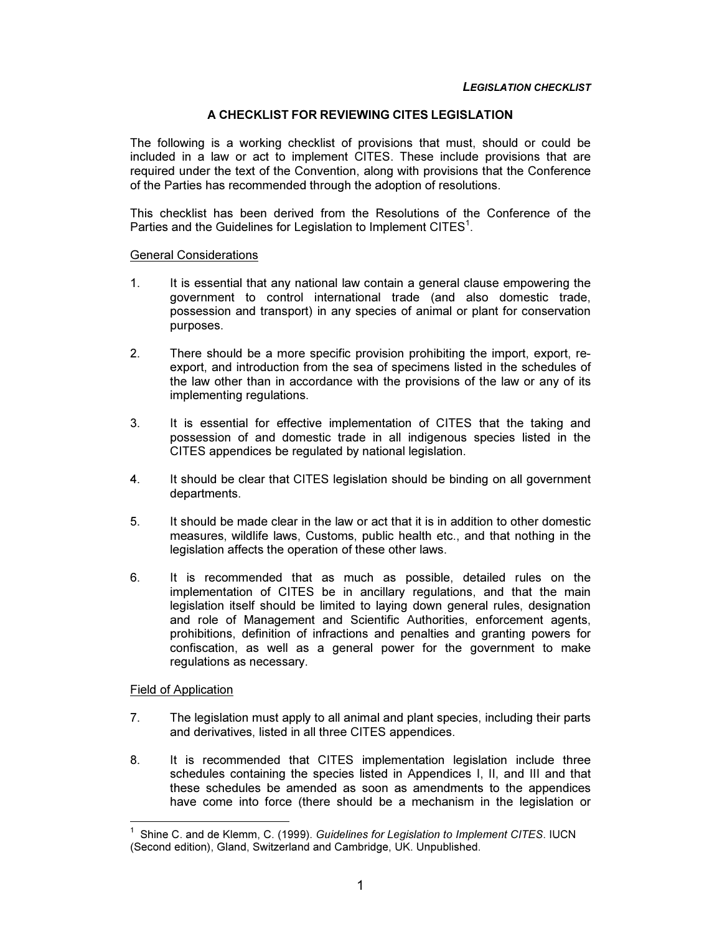### A CHECKLIST FOR REVIEWING CITES LEGISLATION

The following is a working checklist of provisions that must, should or could be included in a law or act to implement CITES. These include provisions that are required under the text of the Convention, along with provisions that the Conference of the Parties has recommended through the adoption of resolutions.

This checklist has been derived from the Resolutions of the Conference of the Parties and the Guidelines for Legislation to Implement CITES<sup>1</sup>.

### General Considerations

- 1. It is essential that any national law contain a general clause empowering the government to control international trade (and also domestic trade, possession and transport) in any species of animal or plant for conservation purposes.
- 2. There should be a more specific provision prohibiting the import, export, reexport, and introduction from the sea of specimens listed in the schedules of the law other than in accordance with the provisions of the law or any of its implementing regulations.
- 3. It is essential for effective implementation of CITES that the taking and possession of and domestic trade in all indigenous species listed in the CITES appendices be regulated by national legislation.
- 4. It should be clear that CITES legislation should be binding on all government departments.
- 5. It should be made clear in the law or act that it is in addition to other domestic measures, wildlife laws, Customs, public health etc., and that nothing in the legislation affects the operation of these other laws.
- 6. It is recommended that as much as possible, detailed rules on the implementation of CITES be in ancillary regulations, and that the main legislation itself should be limited to laying down general rules, designation and role of Management and Scientific Authorities, enforcement agents, prohibitions, definition of infractions and penalties and granting powers for confiscation, as well as a general power for the government to make regulations as necessary.

# Field of Application

- 7. The legislation must apply to all animal and plant species, including their parts and derivatives, listed in all three CITES appendices.
- 8. It is recommended that CITES implementation legislation include three schedules containing the species listed in Appendices I, II, and III and that these schedules be amended as soon as amendments to the appendices have come into force (there should be a mechanism in the legislation or

<sup>1</sup> Shine C. and de Klemm, C. (1999). Guidelines for Legislation to Implement CITES. IUCN (Second edition), Gland, Switzerland and Cambridge, UK. Unpublished.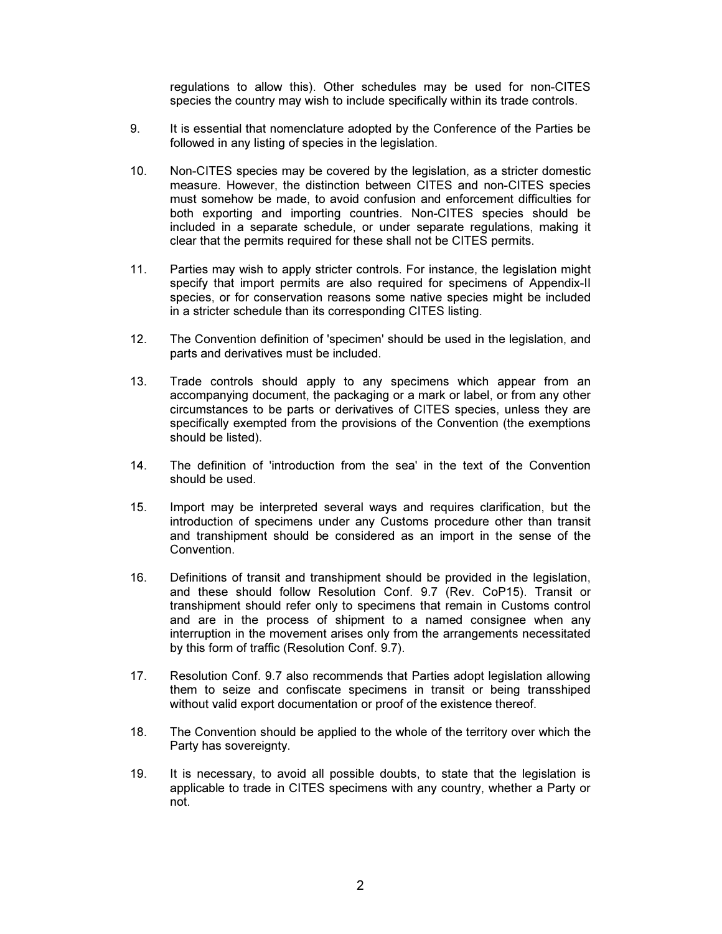regulations to allow this). Other schedules may be used for non-CITES species the country may wish to include specifically within its trade controls.

- 9. It is essential that nomenclature adopted by the Conference of the Parties be followed in any listing of species in the legislation.
- 10. Non-CITES species may be covered by the legislation, as a stricter domestic measure. However, the distinction between CITES and non-CITES species must somehow be made, to avoid confusion and enforcement difficulties for both exporting and importing countries. Non-CITES species should be included in a separate schedule, or under separate regulations, making it clear that the permits required for these shall not be CITES permits.
- 11. Parties may wish to apply stricter controls. For instance, the legislation might specify that import permits are also required for specimens of Appendix-II species, or for conservation reasons some native species might be included in a stricter schedule than its corresponding CITES listing.
- 12. The Convention definition of 'specimen' should be used in the legislation, and parts and derivatives must be included.
- 13. Trade controls should apply to any specimens which appear from an accompanying document, the packaging or a mark or label, or from any other circumstances to be parts or derivatives of CITES species, unless they are specifically exempted from the provisions of the Convention (the exemptions should be listed).
- 14. The definition of 'introduction from the sea' in the text of the Convention should be used.
- 15. Import may be interpreted several ways and requires clarification, but the introduction of specimens under any Customs procedure other than transit and transhipment should be considered as an import in the sense of the Convention.
- 16. Definitions of transit and transhipment should be provided in the legislation, and these should follow Resolution Conf. 9.7 (Rev. CoP15). Transit or transhipment should refer only to specimens that remain in Customs control and are in the process of shipment to a named consignee when any interruption in the movement arises only from the arrangements necessitated by this form of traffic (Resolution Conf. 9.7).
- 17. Resolution Conf. 9.7 also recommends that Parties adopt legislation allowing them to seize and confiscate specimens in transit or being transshiped without valid export documentation or proof of the existence thereof.
- 18. The Convention should be applied to the whole of the territory over which the Party has sovereignty.
- 19. It is necessary, to avoid all possible doubts, to state that the legislation is applicable to trade in CITES specimens with any country, whether a Party or not.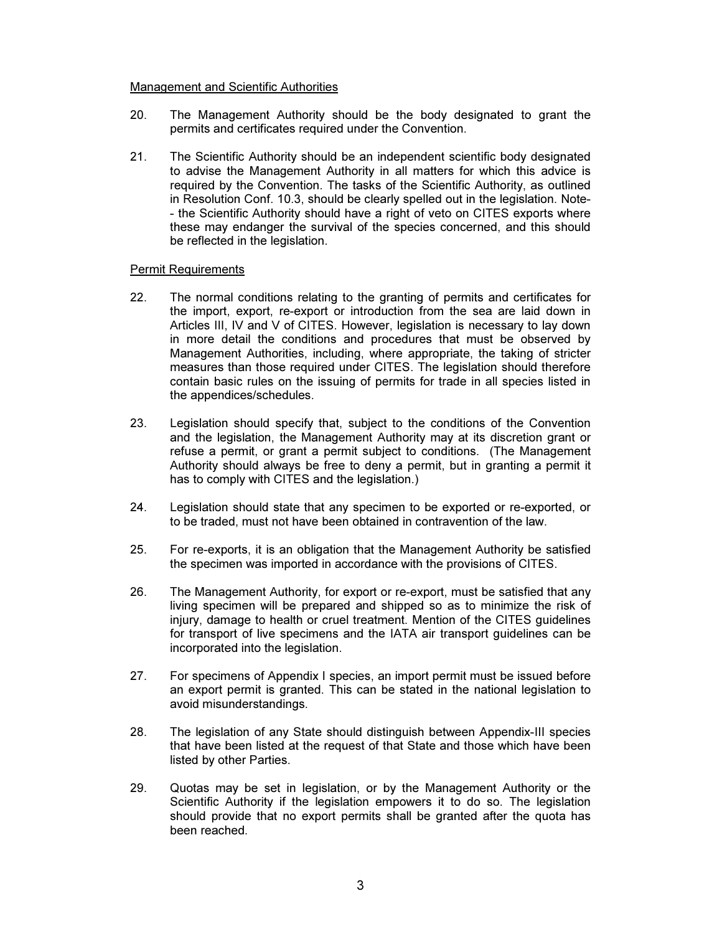### Management and Scientific Authorities

- 20. The Management Authority should be the body designated to grant the permits and certificates required under the Convention.
- 21. The Scientific Authority should be an independent scientific body designated to advise the Management Authority in all matters for which this advice is required by the Convention. The tasks of the Scientific Authority, as outlined in Resolution Conf. 10.3, should be clearly spelled out in the legislation. Note- - the Scientific Authority should have a right of veto on CITES exports where these may endanger the survival of the species concerned, and this should be reflected in the legislation.

## Permit Requirements

- 22. The normal conditions relating to the granting of permits and certificates for the import, export, re-export or introduction from the sea are laid down in Articles III, IV and V of CITES. However, legislation is necessary to lay down in more detail the conditions and procedures that must be observed by Management Authorities, including, where appropriate, the taking of stricter measures than those required under CITES. The legislation should therefore contain basic rules on the issuing of permits for trade in all species listed in the appendices/schedules.
- 23. Legislation should specify that, subject to the conditions of the Convention and the legislation, the Management Authority may at its discretion grant or refuse a permit, or grant a permit subject to conditions. (The Management Authority should always be free to deny a permit, but in granting a permit it has to comply with CITES and the legislation.)
- 24. Legislation should state that any specimen to be exported or re-exported, or to be traded, must not have been obtained in contravention of the law.
- 25. For re-exports, it is an obligation that the Management Authority be satisfied the specimen was imported in accordance with the provisions of CITES.
- 26. The Management Authority, for export or re-export, must be satisfied that any living specimen will be prepared and shipped so as to minimize the risk of injury, damage to health or cruel treatment. Mention of the CITES guidelines for transport of live specimens and the IATA air transport guidelines can be incorporated into the legislation.
- 27. For specimens of Appendix I species, an import permit must be issued before an export permit is granted. This can be stated in the national legislation to avoid misunderstandings.
- 28. The legislation of any State should distinguish between Appendix-III species that have been listed at the request of that State and those which have been listed by other Parties.
- 29. Quotas may be set in legislation, or by the Management Authority or the Scientific Authority if the legislation empowers it to do so. The legislation should provide that no export permits shall be granted after the quota has been reached.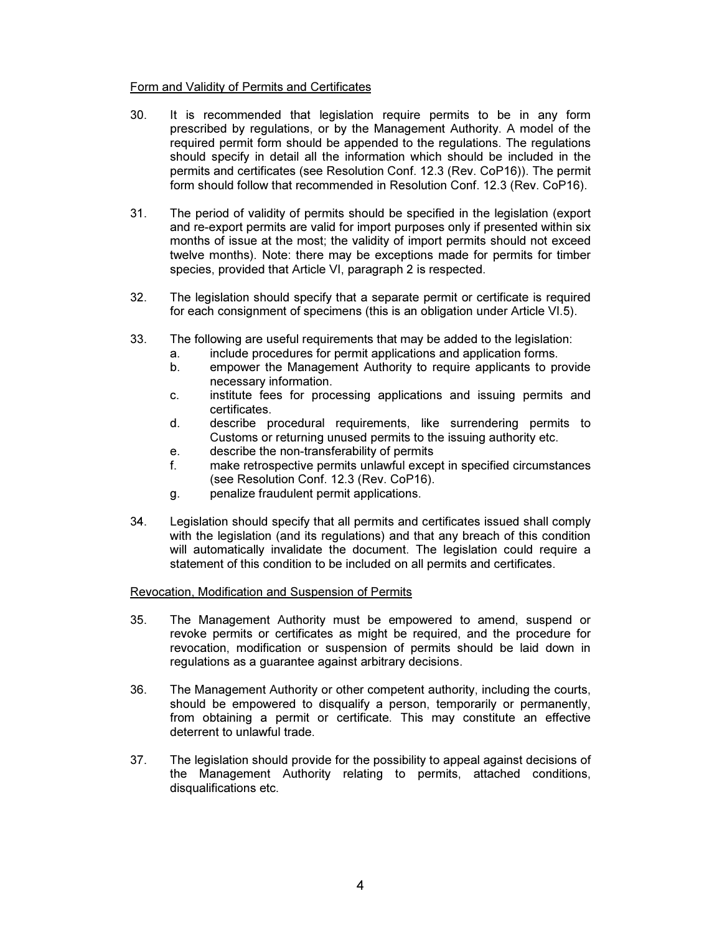## Form and Validity of Permits and Certificates

- 30. It is recommended that legislation require permits to be in any form prescribed by regulations, or by the Management Authority. A model of the required permit form should be appended to the regulations. The regulations should specify in detail all the information which should be included in the permits and certificates (see Resolution Conf. 12.3 (Rev. CoP16)). The permit form should follow that recommended in Resolution Conf. 12.3 (Rev. CoP16).
- 31. The period of validity of permits should be specified in the legislation (export and re-export permits are valid for import purposes only if presented within six months of issue at the most; the validity of import permits should not exceed twelve months). Note: there may be exceptions made for permits for timber species, provided that Article VI, paragraph 2 is respected.
- 32. The legislation should specify that a separate permit or certificate is required for each consignment of specimens (this is an obligation under Article VI.5).
- 33. The following are useful requirements that may be added to the legislation:
	- a. include procedures for permit applications and application forms.
	- b. empower the Management Authority to require applicants to provide necessary information.
	- c. institute fees for processing applications and issuing permits and certificates.
	- d. describe procedural requirements, like surrendering permits to Customs or returning unused permits to the issuing authority etc.
	- e. describe the non-transferability of permits
	- f. make retrospective permits unlawful except in specified circumstances (see Resolution Conf. 12.3 (Rev. CoP16).
	- g. penalize fraudulent permit applications.
- 34. Legislation should specify that all permits and certificates issued shall comply with the legislation (and its regulations) and that any breach of this condition will automatically invalidate the document. The legislation could require a statement of this condition to be included on all permits and certificates.

### Revocation, Modification and Suspension of Permits

- 35. The Management Authority must be empowered to amend, suspend or revoke permits or certificates as might be required, and the procedure for revocation, modification or suspension of permits should be laid down in regulations as a guarantee against arbitrary decisions.
- 36. The Management Authority or other competent authority, including the courts, should be empowered to disqualify a person, temporarily or permanently, from obtaining a permit or certificate. This may constitute an effective deterrent to unlawful trade.
- 37. The legislation should provide for the possibility to appeal against decisions of the Management Authority relating to permits, attached conditions, disqualifications etc.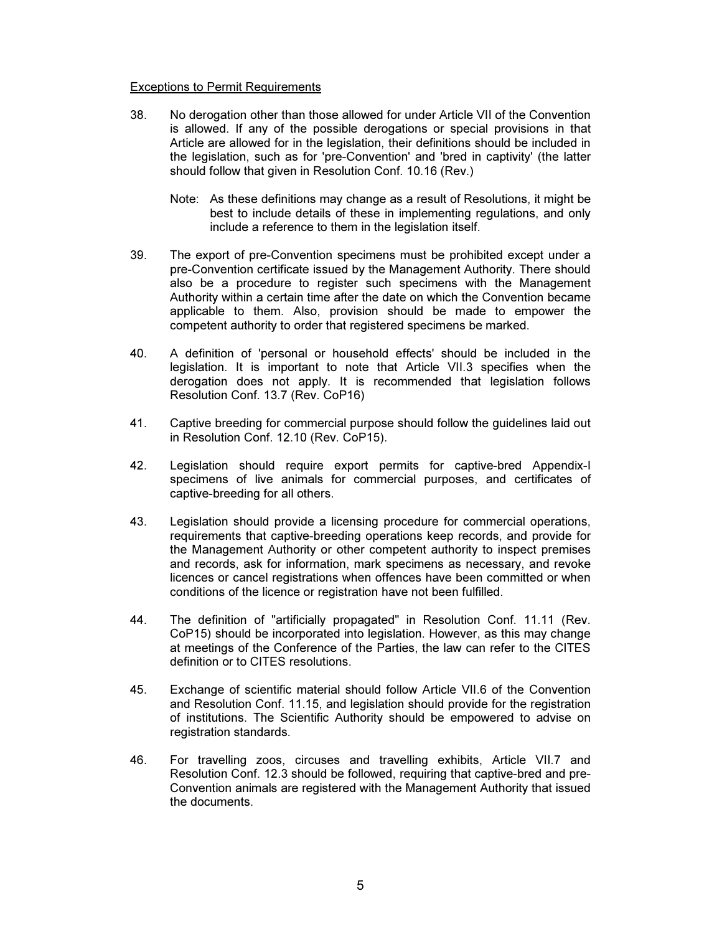### Exceptions to Permit Requirements

- 38. No derogation other than those allowed for under Article VII of the Convention is allowed. If any of the possible derogations or special provisions in that Article are allowed for in the legislation, their definitions should be included in the legislation, such as for 'pre-Convention' and 'bred in captivity' (the latter should follow that given in Resolution Conf. 10.16 (Rev.)
	- Note: As these definitions may change as a result of Resolutions, it might be best to include details of these in implementing regulations, and only include a reference to them in the legislation itself.
- 39. The export of pre-Convention specimens must be prohibited except under a pre-Convention certificate issued by the Management Authority. There should also be a procedure to register such specimens with the Management Authority within a certain time after the date on which the Convention became applicable to them. Also, provision should be made to empower the competent authority to order that registered specimens be marked.
- 40. A definition of 'personal or household effects' should be included in the legislation. It is important to note that Article VII.3 specifies when the derogation does not apply. It is recommended that legislation follows Resolution Conf. 13.7 (Rev. CoP16)
- 41. Captive breeding for commercial purpose should follow the guidelines laid out in Resolution Conf. 12.10 (Rev. CoP15).
- 42. Legislation should require export permits for captive-bred Appendix-I specimens of live animals for commercial purposes, and certificates of captive-breeding for all others.
- 43. Legislation should provide a licensing procedure for commercial operations, requirements that captive-breeding operations keep records, and provide for the Management Authority or other competent authority to inspect premises and records, ask for information, mark specimens as necessary, and revoke licences or cancel registrations when offences have been committed or when conditions of the licence or registration have not been fulfilled.
- 44. The definition of "artificially propagated" in Resolution Conf. 11.11 (Rev. CoP15) should be incorporated into legislation. However, as this may change at meetings of the Conference of the Parties, the law can refer to the CITES definition or to CITES resolutions.
- 45. Exchange of scientific material should follow Article VII.6 of the Convention and Resolution Conf. 11.15, and legislation should provide for the registration of institutions. The Scientific Authority should be empowered to advise on registration standards.
- 46. For travelling zoos, circuses and travelling exhibits, Article VII.7 and Resolution Conf. 12.3 should be followed, requiring that captive-bred and pre-Convention animals are registered with the Management Authority that issued the documents.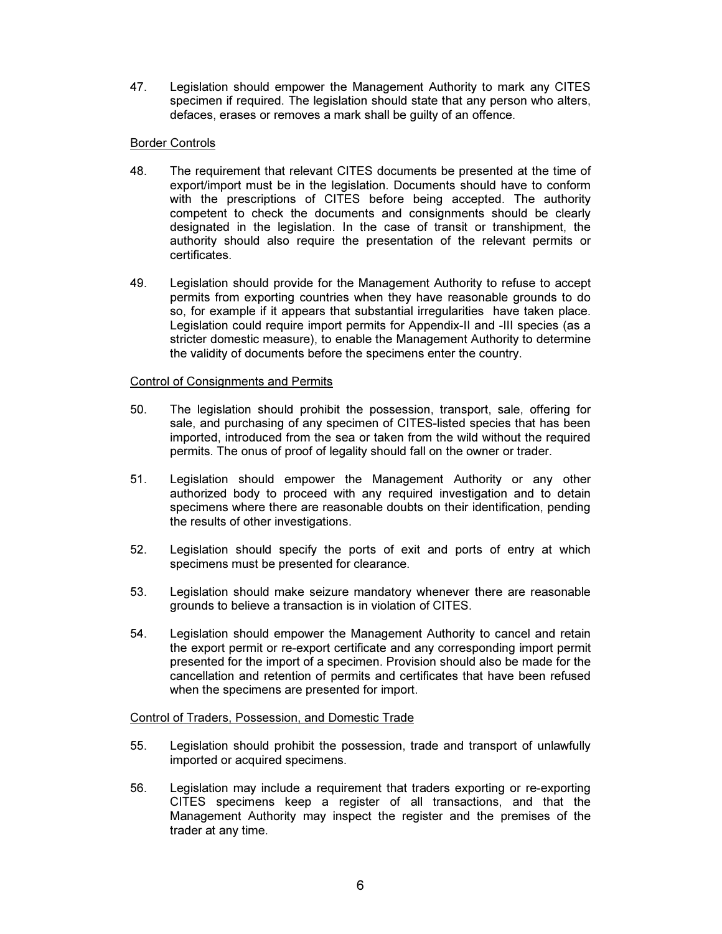47. Legislation should empower the Management Authority to mark any CITES specimen if required. The legislation should state that any person who alters, defaces, erases or removes a mark shall be guilty of an offence.

## Border Controls

- 48. The requirement that relevant CITES documents be presented at the time of export/import must be in the legislation. Documents should have to conform with the prescriptions of CITES before being accepted. The authority competent to check the documents and consignments should be clearly designated in the legislation. In the case of transit or transhipment, the authority should also require the presentation of the relevant permits or certificates.
- 49. Legislation should provide for the Management Authority to refuse to accept permits from exporting countries when they have reasonable grounds to do so, for example if it appears that substantial irregularities have taken place. Legislation could require import permits for Appendix-II and -III species (as a stricter domestic measure), to enable the Management Authority to determine the validity of documents before the specimens enter the country.

## Control of Consignments and Permits

- 50. The legislation should prohibit the possession, transport, sale, offering for sale, and purchasing of any specimen of CITES-listed species that has been imported, introduced from the sea or taken from the wild without the required permits. The onus of proof of legality should fall on the owner or trader.
- 51. Legislation should empower the Management Authority or any other authorized body to proceed with any required investigation and to detain specimens where there are reasonable doubts on their identification, pending the results of other investigations.
- 52. Legislation should specify the ports of exit and ports of entry at which specimens must be presented for clearance.
- 53. Legislation should make seizure mandatory whenever there are reasonable grounds to believe a transaction is in violation of CITES.
- 54. Legislation should empower the Management Authority to cancel and retain the export permit or re-export certificate and any corresponding import permit presented for the import of a specimen. Provision should also be made for the cancellation and retention of permits and certificates that have been refused when the specimens are presented for import.

### Control of Traders, Possession, and Domestic Trade

- 55. Legislation should prohibit the possession, trade and transport of unlawfully imported or acquired specimens.
- 56. Legislation may include a requirement that traders exporting or re-exporting CITES specimens keep a register of all transactions, and that the Management Authority may inspect the register and the premises of the trader at any time.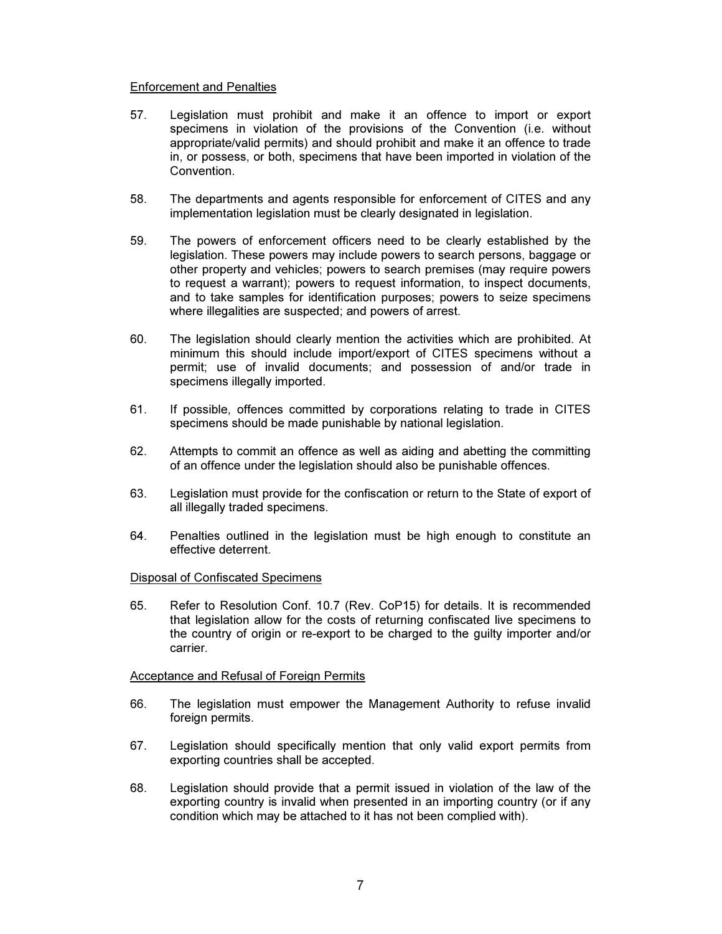### Enforcement and Penalties

- 57. Legislation must prohibit and make it an offence to import or export specimens in violation of the provisions of the Convention (i.e. without appropriate/valid permits) and should prohibit and make it an offence to trade in, or possess, or both, specimens that have been imported in violation of the Convention.
- 58. The departments and agents responsible for enforcement of CITES and any implementation legislation must be clearly designated in legislation.
- 59. The powers of enforcement officers need to be clearly established by the legislation. These powers may include powers to search persons, baggage or other property and vehicles; powers to search premises (may require powers to request a warrant); powers to request information, to inspect documents, and to take samples for identification purposes; powers to seize specimens where illegalities are suspected; and powers of arrest.
- 60. The legislation should clearly mention the activities which are prohibited. At minimum this should include import/export of CITES specimens without a permit; use of invalid documents; and possession of and/or trade in specimens illegally imported.
- 61. If possible, offences committed by corporations relating to trade in CITES specimens should be made punishable by national legislation.
- 62. Attempts to commit an offence as well as aiding and abetting the committing of an offence under the legislation should also be punishable offences.
- 63. Legislation must provide for the confiscation or return to the State of export of all illegally traded specimens.
- 64. Penalties outlined in the legislation must be high enough to constitute an effective deterrent.

### Disposal of Confiscated Specimens

65. Refer to Resolution Conf. 10.7 (Rev. CoP15) for details. It is recommended that legislation allow for the costs of returning confiscated live specimens to the country of origin or re-export to be charged to the guilty importer and/or carrier.

### Acceptance and Refusal of Foreign Permits

- 66. The legislation must empower the Management Authority to refuse invalid foreign permits.
- 67. Legislation should specifically mention that only valid export permits from exporting countries shall be accepted.
- 68. Legislation should provide that a permit issued in violation of the law of the exporting country is invalid when presented in an importing country (or if any condition which may be attached to it has not been complied with).